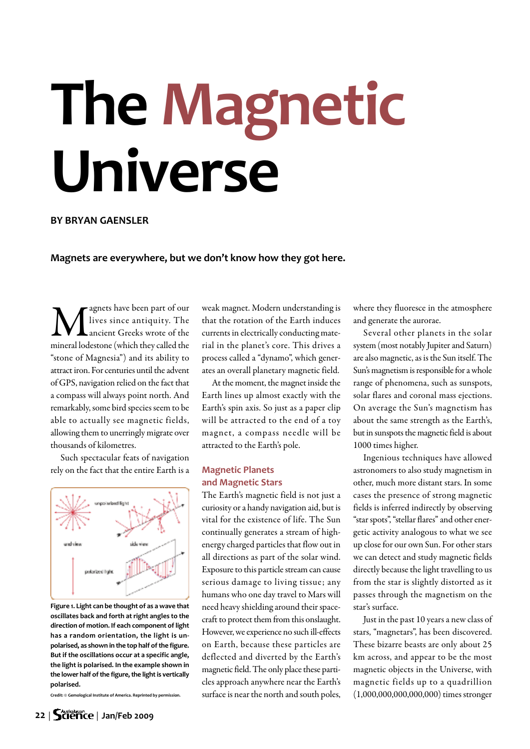# **The Magnetic Universe**

### **BY BRYAN GAENSLER**

**Magnets are everywhere, but we don't know how they got here.**

**M** lives since antiquity. The ancient Greeks wrote of the mineral lodestone (which they called the lives since antiquity. The ancient Greeks wrote of the "stone of Magnesia") and its ability to attract iron. For centuries until the advent of GPS, navigation relied on the fact that a compass will always point north. And remarkably, some bird species seem to be able to actually see magnetic fields, allowing them to unerringly migrate over thousands of kilometres.

Such spectacular feats of navigation rely on the fact that the entire Earth is a



**Figure 1. Light can be thought of as a wave that oscillates back and forth at right angles to the direction of motion. If each component oflight has a random orientation, the light is unpolarised, as shown in the top half ofthe figure. But if the oscillations occur at a specific angle, the light is polarised. In the example shown in the** lower half of the figure, the light is vertically **polarised.**

**Credit: © Gemological Institute of America. Reprinted by permission.**

weak magnet. Modern understanding is that the rotation of the Earth induces currents in electrically conducting material in the planet's core. This drives a process called a "dynamo", which generates an overall planetary magnetic field.

At the moment, the magnet inside the Earth lines up almost exactly with the Earth's spin axis. So just as a paper clip will be attracted to the end of a toy magnet, a compass needle will be attracted to the Earth's pole.

## **Magnetic Planets and Magnetic Stars**

The Earth's magnetic field is not just a curiosity or a handy navigation aid, but is vital for the existence of life. The Sun continually generates a stream of highenergy charged particles that flow out in all directions as part of the solar wind. Exposure to this particle stream can cause serious damage to living tissue; any humans who one day travel to Mars will need heavy shielding around their spacecraft to protect them from this onslaught. However, we experience no such ill-effects on Earth, because these particles are deflected and diverted by the Earth's magnetic field. The only place these particles approach anywhere near the Earth's surface is near the north and south poles,

where they fluoresce in the atmosphere and generate the aurorae.

Several other planets in the solar system (most notably Jupiter and Saturn) are also magnetic, as is the Sun itself. The Sun's magnetism is responsible for a whole range of phenomena, such as sunspots, solar flares and coronal mass ejections. On average the Sun's magnetism has about the same strength as the Earth's, but in sunspots the magnetic field is about 1000 times higher.

Ingenious techniques have allowed astronomers to also study magnetism in other, much more distant stars. In some cases the presence of strong magnetic fields is inferred indirectly by observing "star spots", "stellar flares" and other energetic activity analogous to what we see up close for our own Sun. For other stars we can detect and study magnetic fields directly because the light travelling to us from the star is slightly distorted as it passes through the magnetism on the star's surface.

Just in the past 10 years a new class of stars, "magnetars", has been discovered. These bizarre beasts are only about 25 km across, and appear to be the most magnetic objects in the Universe, with magnetic fields up to a quadrillion  $(1,000,000,000,000,000)$  times stronger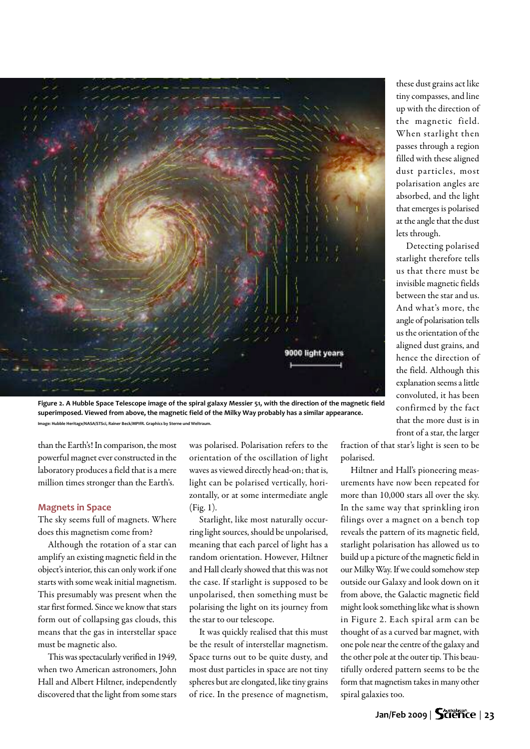

Figure 2. A Hubble Space Telescope image of the spiral galaxy Messier 51, with the direction of the magnetic field **superimposed. Viewed from above, the magnetic field of the Milky Way probably has a similar appearance. Image: Hubble Heritage/NASA/STSci, Rainer Beck/MPIfR. Graphics by Sterne und Weltraum.**

than the Earth's! In comparison, the most powerful magnet ever constructed in the laboratory produces a field that is a mere million times stronger than the Earth's.

#### **Magnets in Space**

The sky seems full of magnets. Where does this magnetism come from?

Although the rotation of a star can amplify an existing magnetic field in the object's interior, this can only work if one starts with some weak initial magnetism. This presumably was present when the star first formed. Since we know that stars form out of collapsing gas clouds, this means that the gas in interstellar space must be magnetic also.

This was spectacularly verified in 1949, when two American astronomers, John Hall and Albert Hiltner, independently discovered that the light from some stars

was polarised. Polarisation refers to the orientation of the oscillation of light waves as viewed directly head-on; that is, light can be polarised vertically, horizontally, or at some intermediate angle (Fig. 1).

Starlight, like most naturally occurring light sources, should be unpolarised, meaning that each parcel of light has a random orientation. However, Hiltner and Hall clearly showed that this was not the case. If starlight is supposed to be unpolarised, then something must be polarising the light on its journey from the star to our telescope.

It was quickly realised that this must be the result of interstellar magnetism. Space turns out to be quite dusty, and most dust particles in space are not tiny spheres but are elongated, like tiny grains of rice. In the presence of magnetism,

these dust grainsact like tiny compasses, and line up with the direction of the magnetic field. When starlight then passes through a region filled with these aligned dust particles, most polarisation angles are absorbed, and the light that emerges is polarised at the angle that the dust lets through.

Detecting polarised starlight therefore tells us that there must be invisible magnetic fields between the star and us. And what's more, the angle of polarisation tells us the orientation of the aligned dust grains, and hence the direction of the field. Although this explanation seemsalittle convoluted, it has been confirmed by the fact that the more dust is in front of a star, the larger

fraction of that star's light is seen to be polarised.

Hiltner and Hall's pioneering measurements have now been repeated for more than 10,000 stars all over the sky. In the same way that sprinkling iron filings over a magnet on a bench top reveals the pattern of its magnetic field, starlight polarisation has allowed us to build up a picture of the magnetic field in our Milky Way. If we could somehow step outside our Galaxy and look down on it from above, the Galactic magnetic field might look something like what is shown in Figure 2. Each spiral arm can be thought of as a curved bar magnet, with one pole near the centre of the galaxy and the other pole at the outer tip. This beautifully ordered pattern seems to be the form that magnetism takes in many other spiral galaxies too.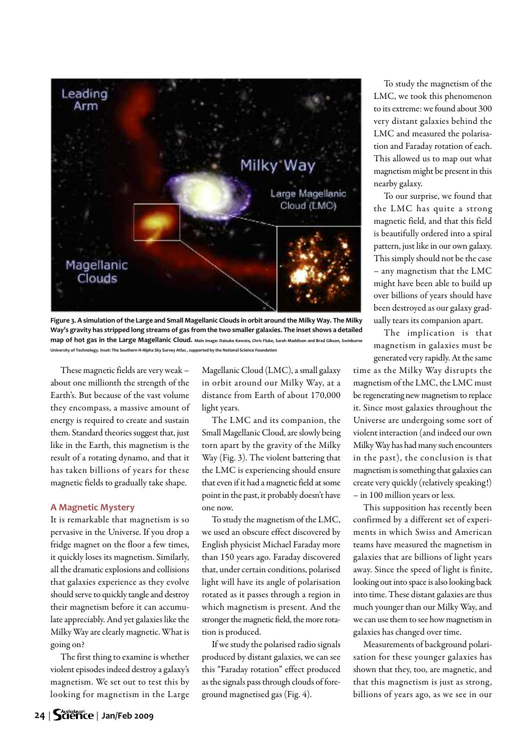

Figure 3. A simulation of the Large and Small Magellanic Clouds in orbit around the Milky Way. The Milky Way's gravity has stripped long streams of gas from the two smaller galaxies. The inset shows a detailed map of hot gas in the Large Magellanic Cloud. Main image: Daisuke Kawata, Chris Fluke, Sarah Maddison and Brad Gibson, Swinburne University of Technology. Inset: The Southern H-Alpha Sky Survey Atlas, supported by the National Science Foundation

These magnetic fields are very weak  $$ about one millionth the strength of the Earth's. But because of the vast volume they encompass, a massive amount of energy is required to create and sustain them. Standard theories suggest that, just like in the Earth, this magnetism is the result of a rotating dynamo, and that it has taken billions of years for these magnetic fields to gradually take shape.

#### **A Magnetic Mystery**

It is remarkable that magnetism is so pervasive in the Universe. If you drop a fridge magnet on the floor a few times, it quickly loses its magnetism. Similarly, all the dramatic explosions and collisions that galaxies experience as they evolve should serve to quickly tangle and destroy their magnetism before it can accumulate appreciably. And yet galaxies like the Milky Way are clearly magnetic. What is going on?

The first thing to examine is whether violent episodes indeed destroy a galaxy's magnetism. We set out to test this by looking for magnetism in the Large Magellanic Cloud (LMC), a small galaxy in orbit around our Milky Way, at a distance from Earth of about 170,000 light years.

The LMC and its companion, the Small Magellanic Cloud, are slowly being torn apart by the gravity of the Milky Way (Fig. 3). The violent battering that the LMC is experiencing should ensure that even if it had a magnetic field at some point in the past, it probably doesn't have one now.

To study the magnetism of the LMC, we used an obscure effect discovered by English physicist Michael Faraday more than 150 years ago. Faraday discovered that, under certain conditions, polarised light will have its angle of polarisation rotated as it passes through a region in which magnetism is present. And the stronger the magnetic field, the more rotation is produced.

If westudy the polarised radio signals produced by distant galaxies, we can see this "Faraday rotation" effect produced as the signals pass through clouds of foreground magnetised gas (Fig. 4).

To study the magnetism of the LMC, we took this phenomenon to its extreme: we found about 300 very distant galaxies behind the LMC and measured the polarisation and Faraday rotation of each. This allowed us to map out what magnetism might be present in this nearby galaxy.

To our surprise, we found that the LMC has quite a strong magnetic field, and that this field is beautifully ordered into a spiral pattern, just like in our own galaxy. This simply should not be the case – any magnetism that the LMC might have been able to build up over billions of years should have been destroyed as our galaxy gradually tears its companion apart.

The implication is that magnetism in galaxies must be generated very rapidly. At the same

time as the Milky Way disrupts the magnetism of the LMC, the LMC must be regenerating new magnetism to replace it. Since most galaxies throughout the Universe are undergoing some sort of violent interaction (and indeed our own Milky Way has had many such encounters in the past), the conclusion is that magnetism is something that galaxies can create very quickly (relatively speaking!) – in 100 million years or less.

This supposition has recently been confirmed by a different set of experiments in which Swiss and American teams have measured the magnetism in galaxies that are billions of light years away. Since the speed of light is finite, looking out into space is also looking back into time. These distant galaxies are thus much younger than our Milky Way, and we can use them to see how magnetism in galaxies has changed over time.

Measurements of background polarisation for these younger galaxies has shown that they, too, are magnetic, and that this magnetism is just as strong, billions of years ago, as we see in our